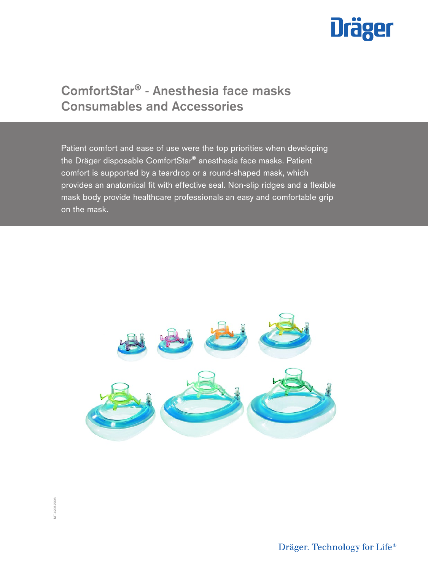

# ComfortStar® - Anesthesia face masks Consumables and Accessories

Patient comfort and ease of use were the top priorities when developing the Dräger disposable ComfortStar® anesthesia face masks. Patient comfort is supported by a teardrop or a round-shaped mask, which provides an anatomical fit with effective seal. Non-slip ridges and a flexible mask body provide healthcare professionals an easy and comfortable grip on the mask.



Dräger. Technology for Life®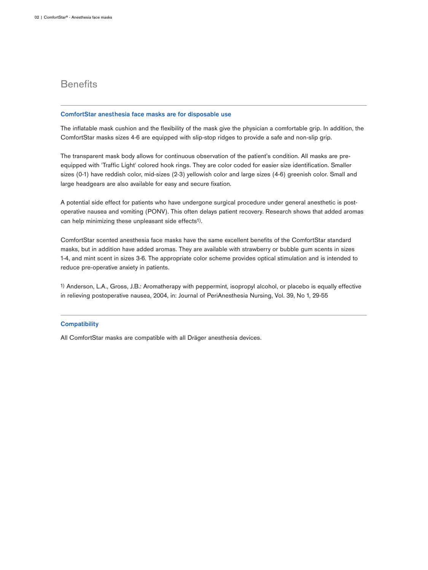## **Benefits**

#### ComfortStar anesthesia face masks are for disposable use

The inflatable mask cushion and the flexibility of the mask give the physician a comfortable grip. In addition, the ComfortStar masks sizes 4-6 are equipped with slip-stop ridges to provide a safe and non-slip grip.

The transparent mask body allows for continuous observation of the patient's condition. All masks are preequipped with 'Traffic Light' colored hook rings. They are color coded for easier size identification. Smaller sizes (0-1) have reddish color, mid-sizes (2-3) yellowish color and large sizes (4-6) greenish color. Small and large headgears are also available for easy and secure fixation.

A potential side effect for patients who have undergone surgical procedure under general anesthetic is postoperative nausea and vomiting (PONV). This often delays patient recovery. Research shows that added aromas can help minimizing these unpleasant side effects<sup>1)</sup>.

ComfortStar scented anesthesia face masks have the same excellent benefits of the ComfortStar standard masks, but in addition have added aromas. They are available with strawberry or bubble gum scents in sizes 1-4, and mint scent in sizes 3-6. The appropriate color scheme provides optical stimulation and is intended to reduce pre-operative anxiety in patients.

1) Anderson, L.A., Gross, J.B.: Aromatherapy with peppermint, isopropyl alcohol, or placebo is equally effective in relieving postoperative nausea, 2004, in: Journal of PeriAnesthesia Nursing, Vol. 39, No 1, 29-55

#### **Compatibility**

All ComfortStar masks are compatible with all Dräger anesthesia devices.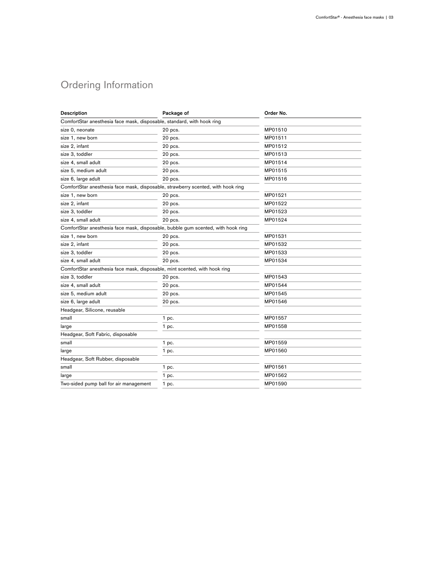## Ordering Information

| <b>Description</b>                                                               | Package of | Order No. |
|----------------------------------------------------------------------------------|------------|-----------|
| ComfortStar anesthesia face mask, disposable, standard, with hook ring           |            |           |
| size 0, neonate                                                                  | 20 pcs.    | MP01510   |
| size 1, new born                                                                 | 20 pcs.    | MP01511   |
| size 2, infant                                                                   | 20 pcs.    | MP01512   |
| size 3, toddler                                                                  | 20 pcs.    | MP01513   |
| size 4, small adult                                                              | 20 pcs.    | MP01514   |
| size 5, medium adult                                                             | 20 pcs.    | MP01515   |
| size 6, large adult                                                              | 20 pcs.    | MP01516   |
| ComfortStar anesthesia face mask, disposable, strawberry scented, with hook ring |            |           |
| size 1, new born                                                                 | 20 pcs.    | MP01521   |
| size 2, infant                                                                   | 20 pcs.    | MP01522   |
| size 3, toddler                                                                  | 20 pcs.    | MP01523   |
| size 4, small adult                                                              | 20 pcs.    | MP01524   |
| ComfortStar anesthesia face mask, disposable, bubble gum scented, with hook ring |            |           |
| size 1, new born                                                                 | 20 pcs.    | MP01531   |
| size 2, infant                                                                   | 20 pcs.    | MP01532   |
| size 3, toddler                                                                  | 20 pcs.    | MP01533   |
| size 4, small adult                                                              | 20 pcs.    | MP01534   |
| ComfortStar anesthesia face mask, disposable, mint scented, with hook ring       |            |           |
| size 3. toddler                                                                  | 20 pcs.    | MP01543   |
| size 4, small adult                                                              | 20 pcs.    | MP01544   |
| size 5, medium adult                                                             | 20 pcs.    | MP01545   |
| size 6, large adult                                                              | 20 pcs.    | MP01546   |
| Headgear, Silicone, reusable                                                     |            |           |
| small                                                                            | 1 pc.      | MP01557   |
| large                                                                            | 1 pc.      | MP01558   |
| Headgear, Soft Fabric, disposable                                                |            |           |
| small                                                                            | 1 pc.      | MP01559   |
| large                                                                            | 1 pc.      | MP01560   |
| Headgear, Soft Rubber, disposable                                                |            |           |
| small                                                                            | 1 pc.      | MP01561   |
| large                                                                            | 1 pc.      | MP01562   |
| Two-sided pump ball for air management                                           | 1 pc.      | MP01590   |
|                                                                                  |            |           |